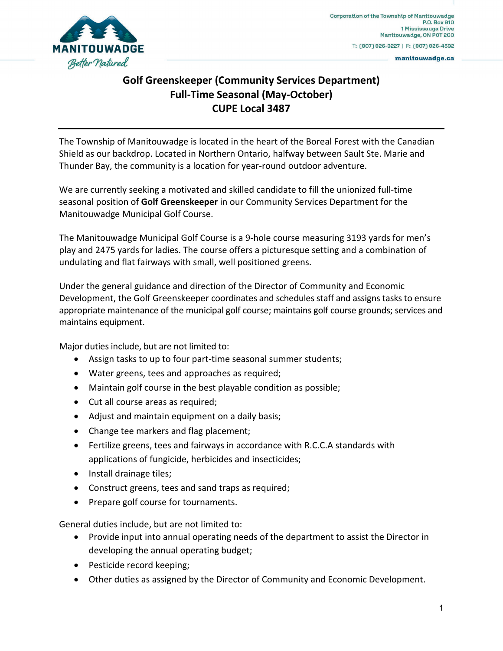

manitouwadge.ca

## **Golf Greenskeeper (Community Services Department) Full-Time Seasonal (May-October) CUPE Local 3487**

The Township of Manitouwadge is located in the heart of the Boreal Forest with the Canadian Shield as our backdrop. Located in Northern Ontario, halfway between Sault Ste. Marie and Thunder Bay, the community is a location for year-round outdoor adventure.

We are currently seeking a motivated and skilled candidate to fill the unionized full-time seasonal position of **Golf Greenskeeper** in our Community Services Department for the Manitouwadge Municipal Golf Course.

The Manitouwadge Municipal Golf Course is a 9-hole course measuring 3193 yards for men's play and 2475 yards for ladies. The course offers a picturesque setting and a combination of undulating and flat fairways with small, well positioned greens.

Under the general guidance and direction of the Director of Community and Economic Development, the Golf Greenskeeper coordinates and schedules staff and assigns tasks to ensure appropriate maintenance of the municipal golf course; maintains golf course grounds; services and maintains equipment.

Major duties include, but are not limited to:

- Assign tasks to up to four part-time seasonal summer students;
- Water greens, tees and approaches as required;
- Maintain golf course in the best playable condition as possible;
- Cut all course areas as required;
- Adjust and maintain equipment on a daily basis;
- Change tee markers and flag placement;
- Fertilize greens, tees and fairways in accordance with R.C.C.A standards with applications of fungicide, herbicides and insecticides;
- Install drainage tiles;
- Construct greens, tees and sand traps as required;
- Prepare golf course for tournaments.

General duties include, but are not limited to:

- Provide input into annual operating needs of the department to assist the Director in developing the annual operating budget;
- Pesticide record keeping;
- Other duties as assigned by the Director of Community and Economic Development.